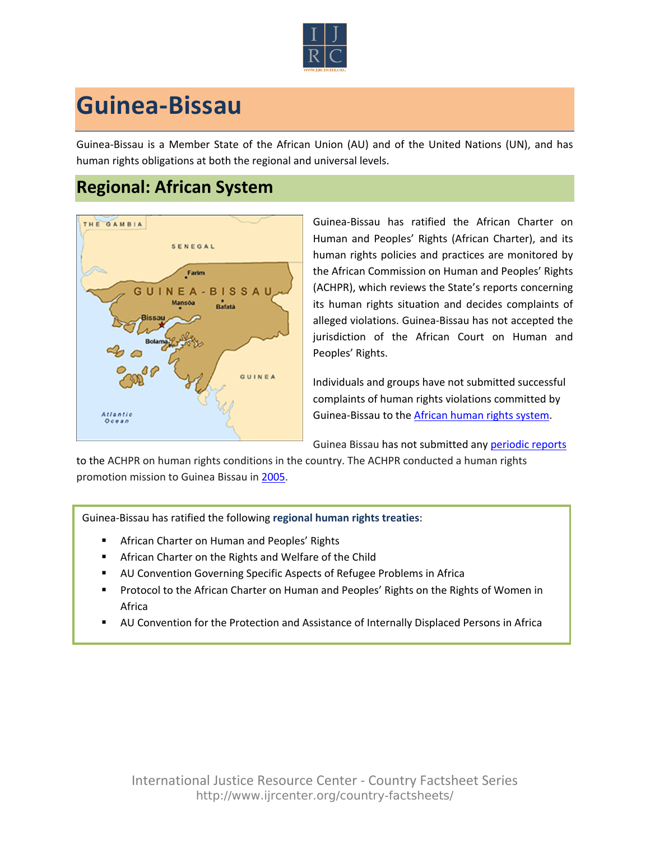

## **Guinea-Bissau**

Guinea-Bissau is a Member State of the African Union (AU) and of the United Nations (UN), and has human rights obligations at both the regional and universal levels.

## **Regional: African System**



Guinea-Bissau has ratified the African Charter on Human and Peoples' Rights (African Charter), and its human rights policies and practices are monitored by the African Commission on Human and Peoples' Rights (ACHPR), which reviews the State's reports concerning its human rights situation and decides complaints of alleged violations. Guinea-Bissau has not accepted the jurisdiction of the African Court on Human and Peoples' Rights.

Individuals and groups have not submitted successful complaints of human rights violations committed by Guinea-Bissau to the [African human rights system.](http://www.ijrcenter.org/regional/african/)

Guinea Bissau has not submitted any [periodic reports](http://www.achpr.org/states/guinea-bissau/)

to the ACHPR on human rights conditions in the country. The ACHPR conducted a human rights promotion mission to Guinea Bissau in [2005.](http://www.achpr.org/states/guinea-bissau/missions/promo-2005/)

Guinea-Bissau has ratified the following **regional human rights treaties**:

- **EXEC** African Charter on Human and Peoples' Rights
- **EXTER African Charter on the Rights and Welfare of the Child**
- AU Convention Governing Specific Aspects of Refugee Problems in Africa
- **Protocol to the African Charter on Human and Peoples' Rights on the Rights of Women in** Africa
- AU Convention for the Protection and Assistance of Internally Displaced Persons in Africa